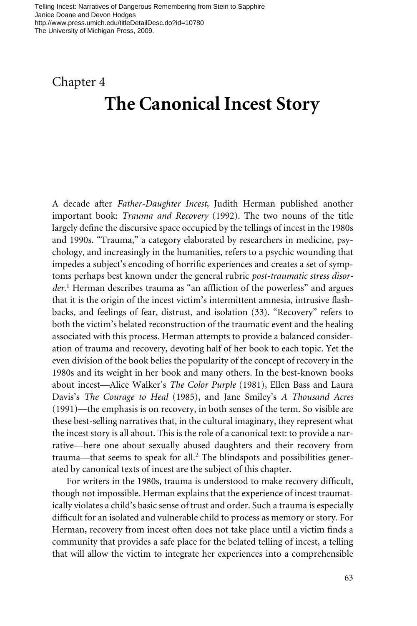## Chapter 4 **The Canonical Incest Story**

A decade after *Father-Daughter Incest,* Judith Herman published another important book: *Trauma and Recovery* (1992). The two nouns of the title largely define the discursive space occupied by the tellings of incest in the 1980s and 1990s. "Trauma," a category elaborated by researchers in medicine, psychology, and increasingly in the humanities, refers to a psychic wounding that impedes a subject's encoding of horrific experiences and creates a set of symptoms perhaps best known under the general rubric *post-traumatic stress disor*der.<sup>1</sup> Herman describes trauma as "an affliction of the powerless" and argues that it is the origin of the incest victim's intermittent amnesia, intrusive flashbacks, and feelings of fear, distrust, and isolation (33). "Recovery" refers to both the victim's belated reconstruction of the traumatic event and the healing associated with this process. Herman attempts to provide a balanced consideration of trauma and recovery, devoting half of her book to each topic. Yet the even division of the book belies the popularity of the concept of recovery in the 1980s and its weight in her book and many others. In the best-known books about incest—Alice Walker's *The Color Purple* (1981), Ellen Bass and Laura Davis's *The Courage to Heal* (1985), and Jane Smiley's *A Thousand Acres* (1991)—the emphasis is on recovery, in both senses of the term. So visible are these best-selling narratives that, in the cultural imaginary, they represent what the incest story is all about. This is the role of a canonical text: to provide a narrative—here one about sexually abused daughters and their recovery from trauma—that seems to speak for all.<sup>2</sup> The blindspots and possibilities generated by canonical texts of incest are the subject of this chapter.

For writers in the 1980s, trauma is understood to make recovery difficult, though not impossible. Herman explains that the experience of incest traumatically violates a child's basic sense of trust and order. Such a trauma is especially difficult for an isolated and vulnerable child to process as memory or story. For Herman, recovery from incest often does not take place until a victim finds a community that provides a safe place for the belated telling of incest, a telling that will allow the victim to integrate her experiences into a comprehensible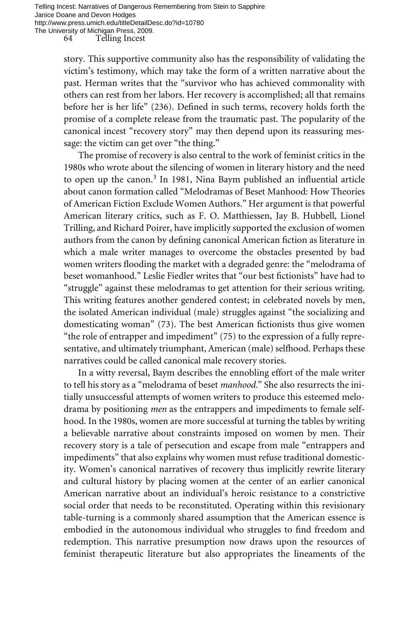story. This supportive community also has the responsibility of validating the victim's testimony, which may take the form of a written narrative about the past. Herman writes that the "survivor who has achieved commonality with others can rest from her labors. Her recovery is accomplished; all that remains before her is her life" (236). Defined in such terms, recovery holds forth the promise of a complete release from the traumatic past. The popularity of the canonical incest "recovery story" may then depend upon its reassuring message: the victim can get over "the thing."

The promise of recovery is also central to the work of feminist critics in the 1980s who wrote about the silencing of women in literary history and the need to open up the canon.<sup>3</sup> In 1981, Nina Baym published an influential article about canon formation called "Melodramas of Beset Manhood: How Theories of American Fiction Exclude Women Authors." Her argument is that powerful American literary critics, such as F. O. Matthiessen, Jay B. Hubbell, Lionel Trilling, and Richard Poirer, have implicitly supported the exclusion of women authors from the canon by defining canonical American fiction as literature in which a male writer manages to overcome the obstacles presented by bad women writers flooding the market with a degraded genre: the "melodrama of beset womanhood." Leslie Fiedler writes that "our best fictionists" have had to "struggle" against these melodramas to get attention for their serious writing. This writing features another gendered contest; in celebrated novels by men, the isolated American individual (male) struggles against "the socializing and domesticating woman" (73). The best American fictionists thus give women "the role of entrapper and impediment" (75) to the expression of a fully representative, and ultimately triumphant, American (male) selfhood. Perhaps these narratives could be called canonical male recovery stories.

In a witty reversal, Baym describes the ennobling effort of the male writer to tell his story as a "melodrama of beset *manhood.*" She also resurrects the initially unsuccessful attempts of women writers to produce this esteemed melodrama by positioning *men* as the entrappers and impediments to female selfhood. In the 1980s, women are more successful at turning the tables by writing a believable narrative about constraints imposed on women by men. Their recovery story is a tale of persecution and escape from male "entrappers and impediments" that also explains why women must refuse traditional domesticity. Women's canonical narratives of recovery thus implicitly rewrite literary and cultural history by placing women at the center of an earlier canonical American narrative about an individual's heroic resistance to a constrictive social order that needs to be reconstituted. Operating within this revisionary table-turning is a commonly shared assumption that the American essence is embodied in the autonomous individual who struggles to find freedom and redemption. This narrative presumption now draws upon the resources of feminist therapeutic literature but also appropriates the lineaments of the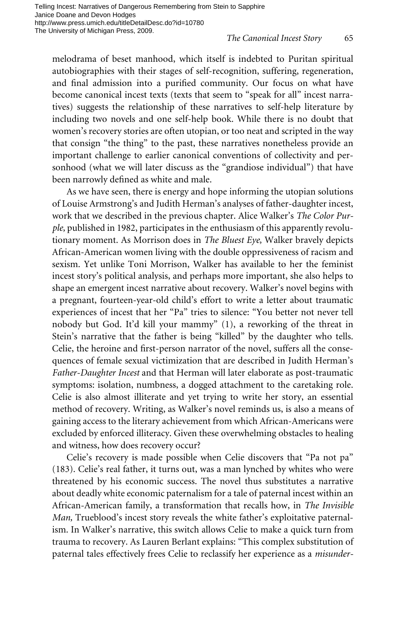melodrama of beset manhood, which itself is indebted to Puritan spiritual autobiographies with their stages of self-recognition, suffering, regeneration, and final admission into a purified community. Our focus on what have become canonical incest texts (texts that seem to "speak for all" incest narratives) suggests the relationship of these narratives to self-help literature by including two novels and one self-help book. While there is no doubt that women's recovery stories are often utopian, or too neat and scripted in the way that consign "the thing" to the past, these narratives nonetheless provide an important challenge to earlier canonical conventions of collectivity and personhood (what we will later discuss as the "grandiose individual") that have been narrowly defined as white and male.

As we have seen, there is energy and hope informing the utopian solutions of Louise Armstrong's and Judith Herman's analyses of father-daughter incest, work that we described in the previous chapter. Alice Walker's *The Color Purple,* published in 1982, participates in the enthusiasm of this apparently revolutionary moment. As Morrison does in *The Bluest Eye,* Walker bravely depicts African-American women living with the double oppressiveness of racism and sexism. Yet unlike Toni Morrison, Walker has available to her the feminist incest story's political analysis, and perhaps more important, she also helps to shape an emergent incest narrative about recovery. Walker's novel begins with a pregnant, fourteen-year-old child's effort to write a letter about traumatic experiences of incest that her "Pa" tries to silence: "You better not never tell nobody but God. It'd kill your mammy" (1), a reworking of the threat in Stein's narrative that the father is being "killed" by the daughter who tells. Celie, the heroine and first-person narrator of the novel, suffers all the consequences of female sexual victimization that are described in Judith Herman's *Father-Daughter Incest* and that Herman will later elaborate as post-traumatic symptoms: isolation, numbness, a dogged attachment to the caretaking role. Celie is also almost illiterate and yet trying to write her story, an essential method of recovery. Writing, as Walker's novel reminds us, is also a means of gaining access to the literary achievement from which African-Americans were excluded by enforced illiteracy. Given these overwhelming obstacles to healing and witness, how does recovery occur?

Celie's recovery is made possible when Celie discovers that "Pa not pa" (183). Celie's real father, it turns out, was a man lynched by whites who were threatened by his economic success. The novel thus substitutes a narrative about deadly white economic paternalism for a tale of paternal incest within an African-American family, a transformation that recalls how, in *The Invisible Man,* Trueblood's incest story reveals the white father's exploitative paternalism. In Walker's narrative, this switch allows Celie to make a quick turn from trauma to recovery. As Lauren Berlant explains: "This complex substitution of paternal tales effectively frees Celie to reclassify her experience as a *misunder-*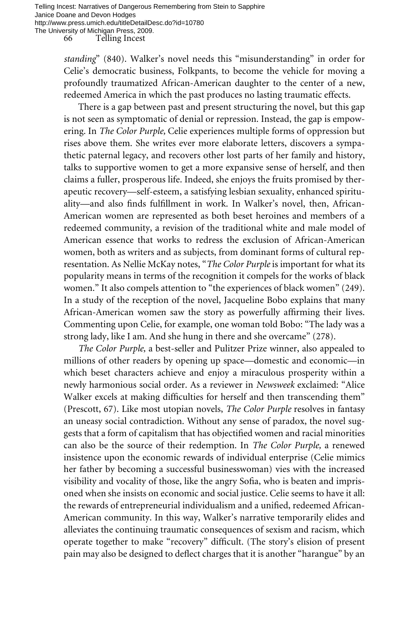> *standing*" (840). Walker's novel needs this "misunderstanding" in order for Celie's democratic business, Folkpants, to become the vehicle for moving a profoundly traumatized African-American daughter to the center of a new, redeemed America in which the past produces no lasting traumatic effects.

> There is a gap between past and present structuring the novel, but this gap is not seen as symptomatic of denial or repression. Instead, the gap is empowering. In *The Color Purple,* Celie experiences multiple forms of oppression but rises above them. She writes ever more elaborate letters, discovers a sympathetic paternal legacy, and recovers other lost parts of her family and history, talks to supportive women to get a more expansive sense of herself, and then claims a fuller, prosperous life. Indeed, she enjoys the fruits promised by therapeutic recovery—self-esteem, a satisfying lesbian sexuality, enhanced spirituality—and also finds fulfillment in work. In Walker's novel, then, African-American women are represented as both beset heroines and members of a redeemed community, a revision of the traditional white and male model of American essence that works to redress the exclusion of African-American women, both as writers and as subjects, from dominant forms of cultural representation. As Nellie McKay notes, "*The Color Purple* is important for what its popularity means in terms of the recognition it compels for the works of black women." It also compels attention to "the experiences of black women" (249). In a study of the reception of the novel, Jacqueline Bobo explains that many African-American women saw the story as powerfully affirming their lives. Commenting upon Celie, for example, one woman told Bobo: "The lady was a strong lady, like I am. And she hung in there and she overcame" (278).

> *The Color Purple,* a best-seller and Pulitzer Prize winner, also appealed to millions of other readers by opening up space—domestic and economic—in which beset characters achieve and enjoy a miraculous prosperity within a newly harmonious social order. As a reviewer in *Newsweek* exclaimed: "Alice Walker excels at making difficulties for herself and then transcending them" (Prescott, 67). Like most utopian novels, *The Color Purple* resolves in fantasy an uneasy social contradiction. Without any sense of paradox, the novel suggests that a form of capitalism that has objectified women and racial minorities can also be the source of their redemption. In *The Color Purple,* a renewed insistence upon the economic rewards of individual enterprise (Celie mimics her father by becoming a successful businesswoman) vies with the increased visibility and vocality of those, like the angry Sofia, who is beaten and imprisoned when she insists on economic and social justice. Celie seems to have it all: the rewards of entrepreneurial individualism and a unified, redeemed African-American community. In this way, Walker's narrative temporarily elides and alleviates the continuing traumatic consequences of sexism and racism, which operate together to make "recovery" difficult. (The story's elision of present pain may also be designed to deflect charges that it is another "harangue" by an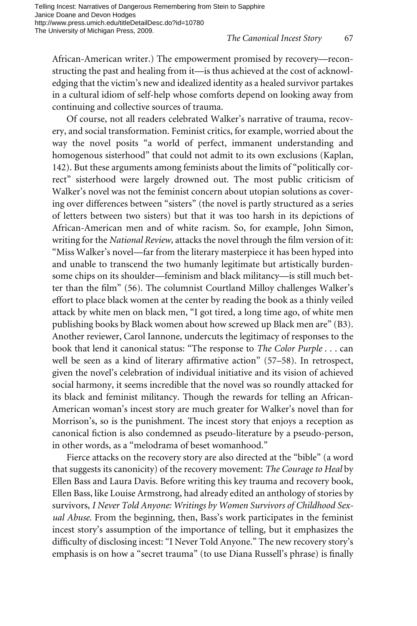African-American writer.) The empowerment promised by recovery—reconstructing the past and healing from it—is thus achieved at the cost of acknowledging that the victim's new and idealized identity as a healed survivor partakes in a cultural idiom of self-help whose comforts depend on looking away from continuing and collective sources of trauma.

Of course, not all readers celebrated Walker's narrative of trauma, recovery, and social transformation. Feminist critics, for example, worried about the way the novel posits "a world of perfect, immanent understanding and homogenous sisterhood" that could not admit to its own exclusions (Kaplan, 142). But these arguments among feminists about the limits of "politically correct" sisterhood were largely drowned out. The most public criticism of Walker's novel was not the feminist concern about utopian solutions as covering over differences between "sisters" (the novel is partly structured as a series of letters between two sisters) but that it was too harsh in its depictions of African-American men and of white racism. So, for example, John Simon, writing for the *National Review*, attacks the novel through the film version of it: "Miss Walker's novel—far from the literary masterpiece it has been hyped into and unable to transcend the two humanly legitimate but artistically burdensome chips on its shoulder—feminism and black militancy—is still much better than the film" (56). The columnist Courtland Milloy challenges Walker's effort to place black women at the center by reading the book as a thinly veiled attack by white men on black men, "I got tired, a long time ago, of white men publishing books by Black women about how screwed up Black men are" (B3). Another reviewer, Carol Iannone, undercuts the legitimacy of responses to the book that lend it canonical status: "The response to *The Color Purple* . . . can well be seen as a kind of literary affirmative action" (57–58). In retrospect, given the novel's celebration of individual initiative and its vision of achieved social harmony, it seems incredible that the novel was so roundly attacked for its black and feminist militancy. Though the rewards for telling an African-American woman's incest story are much greater for Walker's novel than for Morrison's, so is the punishment. The incest story that enjoys a reception as canonical fiction is also condemned as pseudo-literature by a pseudo-person, in other words, as a "melodrama of beset womanhood."

Fierce attacks on the recovery story are also directed at the "bible" (a word that suggests its canonicity) of the recovery movement: *The Courage to Heal* by Ellen Bass and Laura Davis. Before writing this key trauma and recovery book, Ellen Bass, like Louise Armstrong, had already edited an anthology of stories by survivors, *I Never Told Anyone: Writings by Women Survivors of Childhood Sexual Abuse.* From the beginning, then, Bass's work participates in the feminist incest story's assumption of the importance of telling, but it emphasizes the difficulty of disclosing incest: "I Never Told Anyone." The new recovery story's emphasis is on how a "secret trauma" (to use Diana Russell's phrase) is finally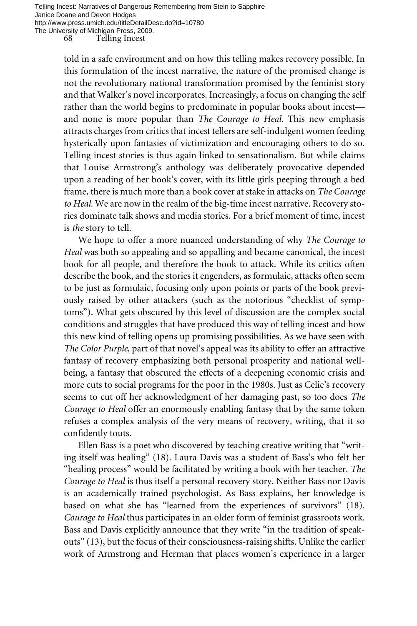told in a safe environment and on how this telling makes recovery possible. In this formulation of the incest narrative, the nature of the promised change is not the revolutionary national transformation promised by the feminist story and that Walker's novel incorporates. Increasingly, a focus on changing the self rather than the world begins to predominate in popular books about incest and none is more popular than *The Courage to Heal.* This new emphasis attracts charges from critics that incest tellers are self-indulgent women feeding hysterically upon fantasies of victimization and encouraging others to do so. Telling incest stories is thus again linked to sensationalism. But while claims that Louise Armstrong's anthology was deliberately provocative depended upon a reading of her book's cover, with its little girls peeping through a bed frame, there is much more than a book cover at stake in attacks on *The Courage to Heal.* We are now in the realm of the big-time incest narrative. Recovery stories dominate talk shows and media stories. For a brief moment of time, incest is *the* story to tell.

We hope to offer a more nuanced understanding of why *The Courage to Heal* was both so appealing and so appalling and became canonical, the incest book for all people, and therefore the book to attack. While its critics often describe the book, and the stories it engenders, as formulaic, attacks often seem to be just as formulaic, focusing only upon points or parts of the book previously raised by other attackers (such as the notorious "checklist of symptoms"). What gets obscured by this level of discussion are the complex social conditions and struggles that have produced this way of telling incest and how this new kind of telling opens up promising possibilities. As we have seen with *The Color Purple,* part of that novel's appeal was its ability to offer an attractive fantasy of recovery emphasizing both personal prosperity and national wellbeing, a fantasy that obscured the effects of a deepening economic crisis and more cuts to social programs for the poor in the 1980s. Just as Celie's recovery seems to cut off her acknowledgment of her damaging past, so too does *The Courage to Heal* offer an enormously enabling fantasy that by the same token refuses a complex analysis of the very means of recovery, writing, that it so confidently touts.

Ellen Bass is a poet who discovered by teaching creative writing that "writing itself was healing" (18). Laura Davis was a student of Bass's who felt her "healing process" would be facilitated by writing a book with her teacher. *The Courage to Heal* is thus itself a personal recovery story. Neither Bass nor Davis is an academically trained psychologist. As Bass explains, her knowledge is based on what she has "learned from the experiences of survivors" (18). *Courage to Heal* thus participates in an older form of feminist grassroots work. Bass and Davis explicitly announce that they write "in the tradition of speakouts" (13), but the focus of their consciousness-raising shifts. Unlike the earlier work of Armstrong and Herman that places women's experience in a larger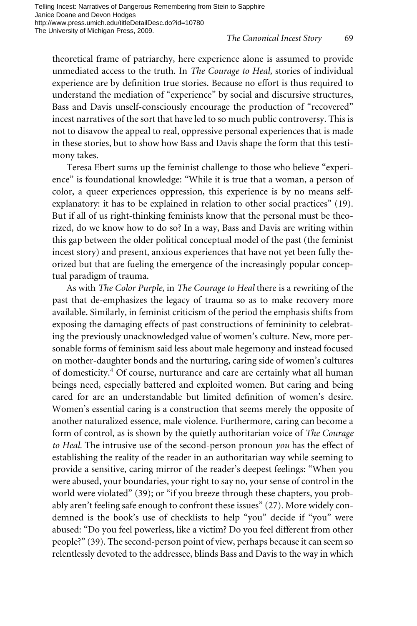theoretical frame of patriarchy, here experience alone is assumed to provide unmediated access to the truth. In *The Courage to Heal,* stories of individual experience are by definition true stories. Because no effort is thus required to understand the mediation of "experience" by social and discursive structures, Bass and Davis unself-consciously encourage the production of "recovered" incest narratives of the sort that have led to so much public controversy. This is not to disavow the appeal to real, oppressive personal experiences that is made in these stories, but to show how Bass and Davis shape the form that this testimony takes.

Teresa Ebert sums up the feminist challenge to those who believe "experience" is foundational knowledge: "While it is true that a woman, a person of color, a queer experiences oppression, this experience is by no means selfexplanatory: it has to be explained in relation to other social practices" (19). But if all of us right-thinking feminists know that the personal must be theorized, do we know how to do so? In a way, Bass and Davis are writing within this gap between the older political conceptual model of the past (the feminist incest story) and present, anxious experiences that have not yet been fully theorized but that are fueling the emergence of the increasingly popular conceptual paradigm of trauma.

As with *The Color Purple,* in *The Courage to Heal* there is a rewriting of the past that de-emphasizes the legacy of trauma so as to make recovery more available. Similarly, in feminist criticism of the period the emphasis shifts from exposing the damaging effects of past constructions of femininity to celebrating the previously unacknowledged value of women's culture. New, more personable forms of feminism said less about male hegemony and instead focused on mother-daughter bonds and the nurturing, caring side of women's cultures of domesticity.4 Of course, nurturance and care are certainly what all human beings need, especially battered and exploited women. But caring and being cared for are an understandable but limited definition of women's desire. Women's essential caring is a construction that seems merely the opposite of another naturalized essence, male violence. Furthermore, caring can become a form of control, as is shown by the quietly authoritarian voice of *The Courage to Heal.* The intrusive use of the second-person pronoun *you* has the effect of establishing the reality of the reader in an authoritarian way while seeming to provide a sensitive, caring mirror of the reader's deepest feelings: "When you were abused, your boundaries, your right to say no, your sense of control in the world were violated" (39); or "if you breeze through these chapters, you probably aren't feeling safe enough to confront these issues" (27). More widely condemned is the book's use of checklists to help "you" decide if "you" were abused: "Do you feel powerless, like a victim? Do you feel different from other people?" (39). The second-person point of view, perhaps because it can seem so relentlessly devoted to the addressee, blinds Bass and Davis to the way in which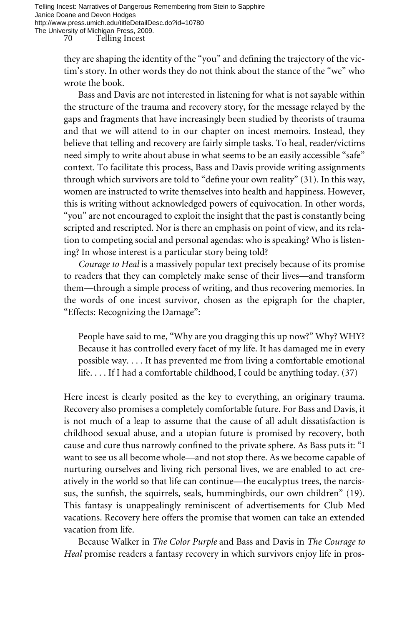> they are shaping the identity of the "you" and defining the trajectory of the victim's story. In other words they do not think about the stance of the "we" who wrote the book.

> Bass and Davis are not interested in listening for what is not sayable within the structure of the trauma and recovery story, for the message relayed by the gaps and fragments that have increasingly been studied by theorists of trauma and that we will attend to in our chapter on incest memoirs. Instead, they believe that telling and recovery are fairly simple tasks. To heal, reader/victims need simply to write about abuse in what seems to be an easily accessible "safe" context. To facilitate this process, Bass and Davis provide writing assignments through which survivors are told to "define your own reality" (31). In this way, women are instructed to write themselves into health and happiness. However, this is writing without acknowledged powers of equivocation. In other words, "you" are not encouraged to exploit the insight that the past is constantly being scripted and rescripted. Nor is there an emphasis on point of view, and its relation to competing social and personal agendas: who is speaking? Who is listening? In whose interest is a particular story being told?

> *Courage to Heal* is a massively popular text precisely because of its promise to readers that they can completely make sense of their lives—and transform them—through a simple process of writing, and thus recovering memories. In the words of one incest survivor, chosen as the epigraph for the chapter, "Effects: Recognizing the Damage":

People have said to me, "Why are you dragging this up now?" Why? WHY? Because it has controlled every facet of my life. It has damaged me in every possible way. . . . It has prevented me from living a comfortable emotional life. . . . If I had a comfortable childhood, I could be anything today. (37)

Here incest is clearly posited as the key to everything, an originary trauma. Recovery also promises a completely comfortable future. For Bass and Davis, it is not much of a leap to assume that the cause of all adult dissatisfaction is childhood sexual abuse, and a utopian future is promised by recovery, both cause and cure thus narrowly confined to the private sphere. As Bass puts it: "I want to see us all become whole—and not stop there. As we become capable of nurturing ourselves and living rich personal lives, we are enabled to act creatively in the world so that life can continue—the eucalyptus trees, the narcissus, the sunfish, the squirrels, seals, hummingbirds, our own children" (19). This fantasy is unappealingly reminiscent of advertisements for Club Med vacations. Recovery here offers the promise that women can take an extended vacation from life.

Because Walker in *The Color Purple* and Bass and Davis in *The Courage to Heal* promise readers a fantasy recovery in which survivors enjoy life in pros-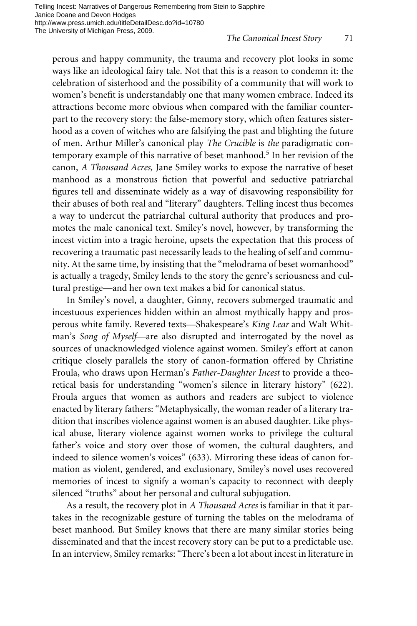## *The Canonical Incest Story* 71

perous and happy community, the trauma and recovery plot looks in some ways like an ideological fairy tale. Not that this is a reason to condemn it: the celebration of sisterhood and the possibility of a community that will work to women's benefit is understandably one that many women embrace. Indeed its attractions become more obvious when compared with the familiar counterpart to the recovery story: the false-memory story, which often features sisterhood as a coven of witches who are falsifying the past and blighting the future of men. Arthur Miller's canonical play *The Crucible* is *the* paradigmatic contemporary example of this narrative of beset manhood.5 In her revision of the canon, *A Thousand Acres,* Jane Smiley works to expose the narrative of beset manhood as a monstrous fiction that powerful and seductive patriarchal figures tell and disseminate widely as a way of disavowing responsibility for their abuses of both real and "literary" daughters. Telling incest thus becomes a way to undercut the patriarchal cultural authority that produces and promotes the male canonical text. Smiley's novel, however, by transforming the incest victim into a tragic heroine, upsets the expectation that this process of recovering a traumatic past necessarily leads to the healing of self and community. At the same time, by insisting that the "melodrama of beset womanhood" is actually a tragedy, Smiley lends to the story the genre's seriousness and cultural prestige—and her own text makes a bid for canonical status.

In Smiley's novel, a daughter, Ginny, recovers submerged traumatic and incestuous experiences hidden within an almost mythically happy and prosperous white family. Revered texts—Shakespeare's *King Lear* and Walt Whitman's *Song of Myself*—are also disrupted and interrogated by the novel as sources of unacknowledged violence against women. Smiley's effort at canon critique closely parallels the story of canon-formation offered by Christine Froula, who draws upon Herman's *Father-Daughter Incest* to provide a theoretical basis for understanding "women's silence in literary history" (622). Froula argues that women as authors and readers are subject to violence enacted by literary fathers: "Metaphysically, the woman reader of a literary tradition that inscribes violence against women is an abused daughter. Like physical abuse, literary violence against women works to privilege the cultural father's voice and story over those of women, the cultural daughters, and indeed to silence women's voices" (633). Mirroring these ideas of canon formation as violent, gendered, and exclusionary, Smiley's novel uses recovered memories of incest to signify a woman's capacity to reconnect with deeply silenced "truths" about her personal and cultural subjugation.

As a result, the recovery plot in *A Thousand Acres* is familiar in that it partakes in the recognizable gesture of turning the tables on the melodrama of beset manhood. But Smiley knows that there are many similar stories being disseminated and that the incest recovery story can be put to a predictable use. In an interview, Smiley remarks: "There's been a lot about incest in literature in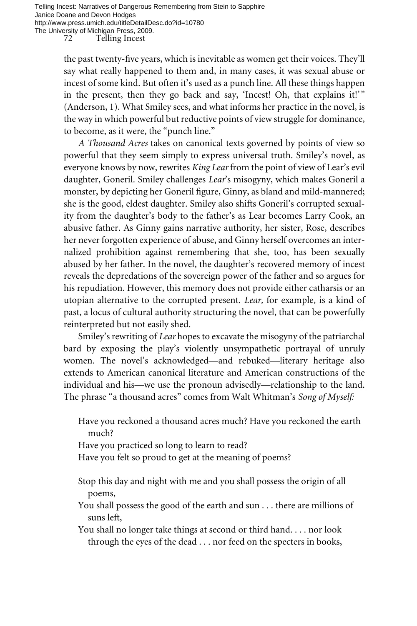the past twenty-five years, which is inevitable as women get their voices. They'll say what really happened to them and, in many cases, it was sexual abuse or incest of some kind. But often it's used as a punch line. All these things happen in the present, then they go back and say, 'Incest! Oh, that explains it!'" (Anderson, 1). What Smiley sees, and what informs her practice in the novel, is the way in which powerful but reductive points of view struggle for dominance, to become, as it were, the "punch line."

*A Thousand Acres* takes on canonical texts governed by points of view so powerful that they seem simply to express universal truth. Smiley's novel, as everyone knows by now, rewrites *King Lear* from the point of view of Lear's evil daughter, Goneril. Smiley challenges *Lear*'s misogyny, which makes Goneril a monster, by depicting her Goneril figure, Ginny, as bland and mild-mannered; she is the good, eldest daughter. Smiley also shifts Goneril's corrupted sexuality from the daughter's body to the father's as Lear becomes Larry Cook, an abusive father. As Ginny gains narrative authority, her sister, Rose, describes her never forgotten experience of abuse, and Ginny herself overcomes an internalized prohibition against remembering that she, too, has been sexually abused by her father. In the novel, the daughter's recovered memory of incest reveals the depredations of the sovereign power of the father and so argues for his repudiation. However, this memory does not provide either catharsis or an utopian alternative to the corrupted present. *Lear,* for example, is a kind of past, a locus of cultural authority structuring the novel, that can be powerfully reinterpreted but not easily shed.

Smiley's rewriting of *Lear* hopes to excavate the misogyny of the patriarchal bard by exposing the play's violently unsympathetic portrayal of unruly women. The novel's acknowledged—and rebuked—literary heritage also extends to American canonical literature and American constructions of the individual and his—we use the pronoun advisedly—relationship to the land. The phrase "a thousand acres" comes from Walt Whitman's *Song of Myself:*

Have you reckoned a thousand acres much? Have you reckoned the earth much?

Have you practiced so long to learn to read?

- Have you felt so proud to get at the meaning of poems?
- Stop this day and night with me and you shall possess the origin of all poems,

You shall possess the good of the earth and sun . . . there are millions of suns left,

You shall no longer take things at second or third hand. . . . nor look through the eyes of the dead . . . nor feed on the specters in books,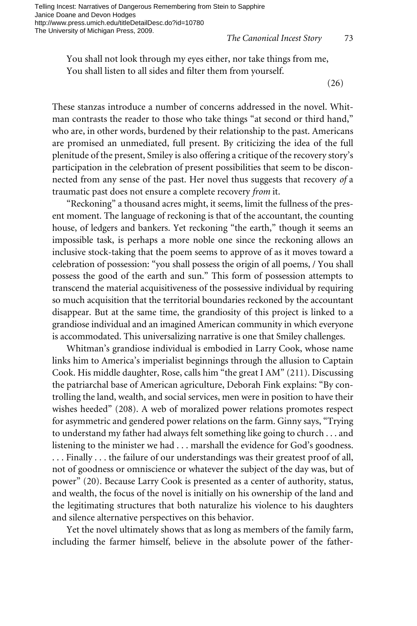## *The Canonical Incest Story* 73

You shall not look through my eyes either, nor take things from me, You shall listen to all sides and filter them from yourself.

(26)

These stanzas introduce a number of concerns addressed in the novel. Whitman contrasts the reader to those who take things "at second or third hand," who are, in other words, burdened by their relationship to the past. Americans are promised an unmediated, full present. By criticizing the idea of the full plenitude of the present, Smiley is also offering a critique of the recovery story's participation in the celebration of present possibilities that seem to be disconnected from any sense of the past. Her novel thus suggests that recovery *of* a traumatic past does not ensure a complete recovery *from* it.

"Reckoning" a thousand acres might, it seems, limit the fullness of the present moment. The language of reckoning is that of the accountant, the counting house, of ledgers and bankers. Yet reckoning "the earth," though it seems an impossible task, is perhaps a more noble one since the reckoning allows an inclusive stock-taking that the poem seems to approve of as it moves toward a celebration of possession: "you shall possess the origin of all poems, / You shall possess the good of the earth and sun." This form of possession attempts to transcend the material acquisitiveness of the possessive individual by requiring so much acquisition that the territorial boundaries reckoned by the accountant disappear. But at the same time, the grandiosity of this project is linked to a grandiose individual and an imagined American community in which everyone is accommodated. This universalizing narrative is one that Smiley challenges.

Whitman's grandiose individual is embodied in Larry Cook, whose name links him to America's imperialist beginnings through the allusion to Captain Cook. His middle daughter, Rose, calls him "the great I AM" (211). Discussing the patriarchal base of American agriculture, Deborah Fink explains: "By controlling the land, wealth, and social services, men were in position to have their wishes heeded" (208). A web of moralized power relations promotes respect for asymmetric and gendered power relations on the farm. Ginny says, "Trying to understand my father had always felt something like going to church . . . and listening to the minister we had . . . marshall the evidence for God's goodness. . . . Finally . . . the failure of our understandings was their greatest proof of all, not of goodness or omniscience or whatever the subject of the day was, but of power" (20). Because Larry Cook is presented as a center of authority, status, and wealth, the focus of the novel is initially on his ownership of the land and the legitimating structures that both naturalize his violence to his daughters and silence alternative perspectives on this behavior.

Yet the novel ultimately shows that as long as members of the family farm, including the farmer himself, believe in the absolute power of the father-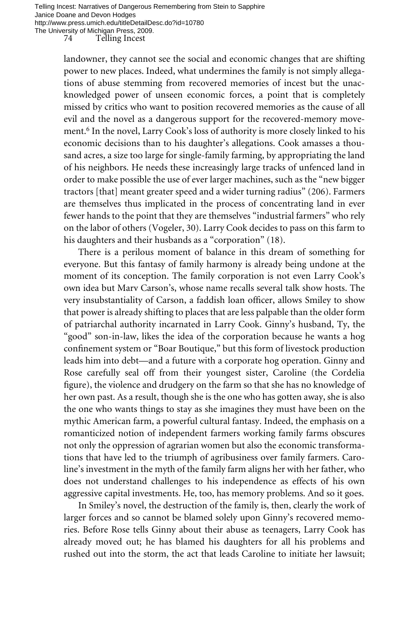> landowner, they cannot see the social and economic changes that are shifting power to new places. Indeed, what undermines the family is not simply allegations of abuse stemming from recovered memories of incest but the unacknowledged power of unseen economic forces, a point that is completely missed by critics who want to position recovered memories as the cause of all evil and the novel as a dangerous support for the recovered-memory movement.<sup>6</sup> In the novel, Larry Cook's loss of authority is more closely linked to his economic decisions than to his daughter's allegations. Cook amasses a thousand acres, a size too large for single-family farming, by appropriating the land of his neighbors. He needs these increasingly large tracks of unfenced land in order to make possible the use of ever larger machines, such as the "new bigger tractors [that] meant greater speed and a wider turning radius" (206). Farmers are themselves thus implicated in the process of concentrating land in ever fewer hands to the point that they are themselves "industrial farmers" who rely on the labor of others (Vogeler, 30). Larry Cook decides to pass on this farm to his daughters and their husbands as a "corporation" (18).

> There is a perilous moment of balance in this dream of something for everyone. But this fantasy of family harmony is already being undone at the moment of its conception. The family corporation is not even Larry Cook's own idea but Marv Carson's, whose name recalls several talk show hosts. The very insubstantiality of Carson, a faddish loan officer, allows Smiley to show that power is already shifting to places that are less palpable than the older form of patriarchal authority incarnated in Larry Cook. Ginny's husband, Ty, the "good" son-in-law, likes the idea of the corporation because he wants a hog confinement system or "Boar Boutique," but this form of livestock production leads him into debt—and a future with a corporate hog operation. Ginny and Rose carefully seal off from their youngest sister, Caroline (the Cordelia figure), the violence and drudgery on the farm so that she has no knowledge of her own past. As a result, though she is the one who has gotten away, she is also the one who wants things to stay as she imagines they must have been on the mythic American farm, a powerful cultural fantasy. Indeed, the emphasis on a romanticized notion of independent farmers working family farms obscures not only the oppression of agrarian women but also the economic transformations that have led to the triumph of agribusiness over family farmers. Caroline's investment in the myth of the family farm aligns her with her father, who does not understand challenges to his independence as effects of his own aggressive capital investments. He, too, has memory problems. And so it goes.

> In Smiley's novel, the destruction of the family is, then, clearly the work of larger forces and so cannot be blamed solely upon Ginny's recovered memories. Before Rose tells Ginny about their abuse as teenagers, Larry Cook has already moved out; he has blamed his daughters for all his problems and rushed out into the storm, the act that leads Caroline to initiate her lawsuit;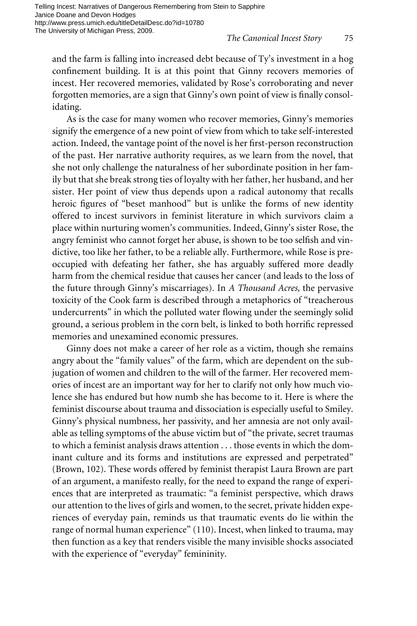and the farm is falling into increased debt because of Ty's investment in a hog confinement building. It is at this point that Ginny recovers memories of incest. Her recovered memories, validated by Rose's corroborating and never forgotten memories, are a sign that Ginny's own point of view is finally consolidating.

As is the case for many women who recover memories, Ginny's memories signify the emergence of a new point of view from which to take self-interested action. Indeed, the vantage point of the novel is her first-person reconstruction of the past. Her narrative authority requires, as we learn from the novel, that she not only challenge the naturalness of her subordinate position in her family but that she break strong ties of loyalty with her father, her husband, and her sister. Her point of view thus depends upon a radical autonomy that recalls heroic figures of "beset manhood" but is unlike the forms of new identity offered to incest survivors in feminist literature in which survivors claim a place within nurturing women's communities. Indeed, Ginny's sister Rose, the angry feminist who cannot forget her abuse, is shown to be too selfish and vindictive, too like her father, to be a reliable ally. Furthermore, while Rose is preoccupied with defeating her father, she has arguably suffered more deadly harm from the chemical residue that causes her cancer (and leads to the loss of the future through Ginny's miscarriages). In *A Thousand Acres,* the pervasive toxicity of the Cook farm is described through a metaphorics of "treacherous undercurrents" in which the polluted water flowing under the seemingly solid ground, a serious problem in the corn belt, is linked to both horrific repressed memories and unexamined economic pressures.

Ginny does not make a career of her role as a victim, though she remains angry about the "family values" of the farm, which are dependent on the subjugation of women and children to the will of the farmer. Her recovered memories of incest are an important way for her to clarify not only how much violence she has endured but how numb she has become to it. Here is where the feminist discourse about trauma and dissociation is especially useful to Smiley. Ginny's physical numbness, her passivity, and her amnesia are not only available as telling symptoms of the abuse victim but of "the private, secret traumas to which a feminist analysis draws attention . . . those events in which the dominant culture and its forms and institutions are expressed and perpetrated" (Brown, 102). These words offered by feminist therapist Laura Brown are part of an argument, a manifesto really, for the need to expand the range of experiences that are interpreted as traumatic: "a feminist perspective, which draws our attention to the lives of girls and women, to the secret, private hidden experiences of everyday pain, reminds us that traumatic events do lie within the range of normal human experience" (110). Incest, when linked to trauma, may then function as a key that renders visible the many invisible shocks associated with the experience of "everyday" femininity.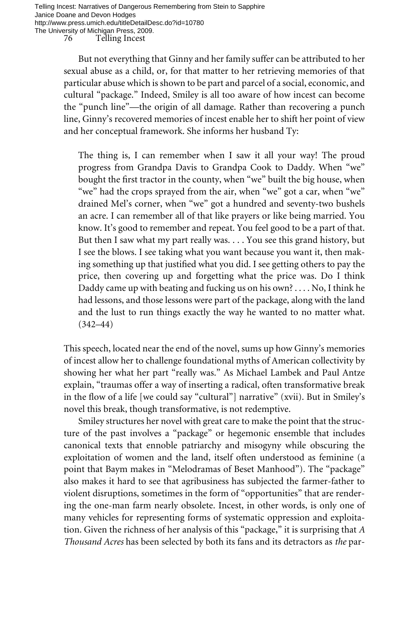> But not everything that Ginny and her family suffer can be attributed to her sexual abuse as a child, or, for that matter to her retrieving memories of that particular abuse which is shown to be part and parcel of a social, economic, and cultural "package." Indeed, Smiley is all too aware of how incest can become the "punch line"—the origin of all damage. Rather than recovering a punch line, Ginny's recovered memories of incest enable her to shift her point of view and her conceptual framework. She informs her husband Ty:

The thing is, I can remember when I saw it all your way! The proud progress from Grandpa Davis to Grandpa Cook to Daddy. When "we" bought the first tractor in the county, when "we" built the big house, when "we" had the crops sprayed from the air, when "we" got a car, when "we" drained Mel's corner, when "we" got a hundred and seventy-two bushels an acre. I can remember all of that like prayers or like being married. You know. It's good to remember and repeat. You feel good to be a part of that. But then I saw what my part really was. . . . You see this grand history, but I see the blows. I see taking what you want because you want it, then making something up that justified what you did. I see getting others to pay the price, then covering up and forgetting what the price was. Do I think Daddy came up with beating and fucking us on his own? . . . . No, I think he had lessons, and those lessons were part of the package, along with the land and the lust to run things exactly the way he wanted to no matter what. (342–44)

This speech, located near the end of the novel, sums up how Ginny's memories of incest allow her to challenge foundational myths of American collectivity by showing her what her part "really was." As Michael Lambek and Paul Antze explain, "traumas offer a way of inserting a radical, often transformative break in the flow of a life [we could say "cultural"] narrative" (xvii). But in Smiley's novel this break, though transformative, is not redemptive.

Smiley structures her novel with great care to make the point that the structure of the past involves a "package" or hegemonic ensemble that includes canonical texts that ennoble patriarchy and misogyny while obscuring the exploitation of women and the land, itself often understood as feminine (a point that Baym makes in "Melodramas of Beset Manhood"). The "package" also makes it hard to see that agribusiness has subjected the farmer-father to violent disruptions, sometimes in the form of "opportunities" that are rendering the one-man farm nearly obsolete. Incest, in other words, is only one of many vehicles for representing forms of systematic oppression and exploitation. Given the richness of her analysis of this "package," it is surprising that *A Thousand Acres* has been selected by both its fans and its detractors as *the* par-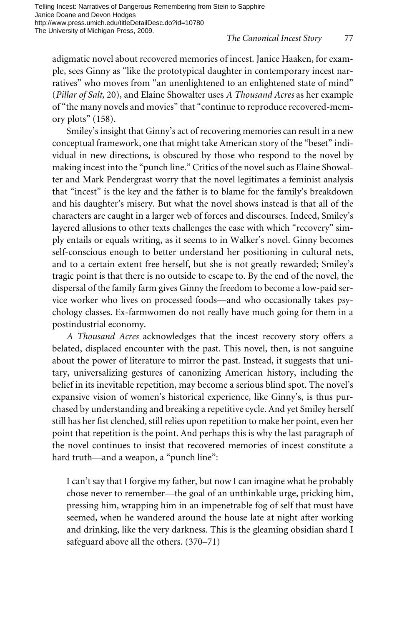adigmatic novel about recovered memories of incest. Janice Haaken, for example, sees Ginny as "like the prototypical daughter in contemporary incest narratives" who moves from "an unenlightened to an enlightened state of mind" (*Pillar of Salt,* 20), and Elaine Showalter uses *A Thousand Acres* as her example of "the many novels and movies" that "continue to reproduce recovered-memory plots" (158).

Smiley's insight that Ginny's act of recovering memories can result in a new conceptual framework, one that might take American story of the "beset" individual in new directions, is obscured by those who respond to the novel by making incest into the "punch line." Critics of the novel such as Elaine Showalter and Mark Pendergrast worry that the novel legitimates a feminist analysis that "incest" is the key and the father is to blame for the family's breakdown and his daughter's misery. But what the novel shows instead is that all of the characters are caught in a larger web of forces and discourses. Indeed, Smiley's layered allusions to other texts challenges the ease with which "recovery" simply entails or equals writing, as it seems to in Walker's novel. Ginny becomes self-conscious enough to better understand her positioning in cultural nets, and to a certain extent free herself, but she is not greatly rewarded; Smiley's tragic point is that there is no outside to escape to. By the end of the novel, the dispersal of the family farm gives Ginny the freedom to become a low-paid service worker who lives on processed foods—and who occasionally takes psychology classes. Ex-farmwomen do not really have much going for them in a postindustrial economy.

*A Thousand Acres* acknowledges that the incest recovery story offers a belated, displaced encounter with the past. This novel, then, is not sanguine about the power of literature to mirror the past. Instead, it suggests that unitary, universalizing gestures of canonizing American history, including the belief in its inevitable repetition, may become a serious blind spot. The novel's expansive vision of women's historical experience, like Ginny's, is thus purchased by understanding and breaking a repetitive cycle. And yet Smiley herself still has her fist clenched, still relies upon repetition to make her point, even her point that repetition is the point. And perhaps this is why the last paragraph of the novel continues to insist that recovered memories of incest constitute a hard truth—and a weapon, a "punch line":

I can't say that I forgive my father, but now I can imagine what he probably chose never to remember—the goal of an unthinkable urge, pricking him, pressing him, wrapping him in an impenetrable fog of self that must have seemed, when he wandered around the house late at night after working and drinking, like the very darkness. This is the gleaming obsidian shard I safeguard above all the others. (370–71)